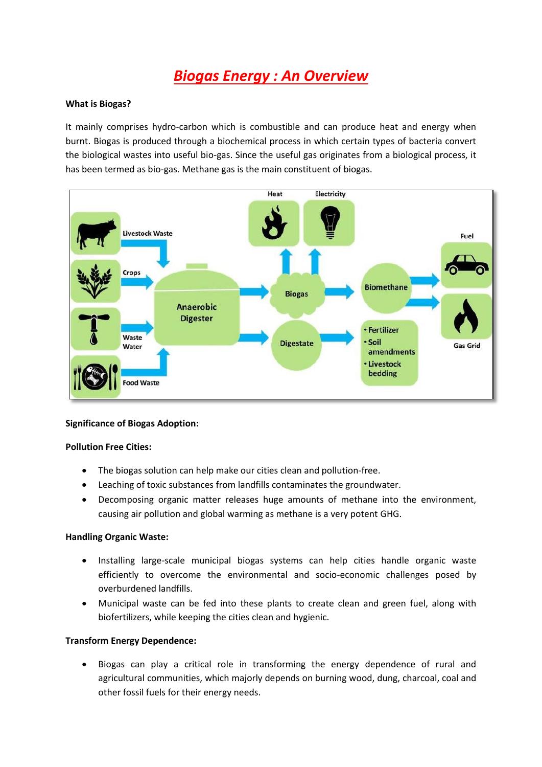# *Biogas Energy : An Overview*

#### **What is Biogas?**

It mainly comprises hydro-carbon which is combustible and can produce heat and energy when burnt. Biogas is produced through a biochemical process in which certain types of bacteria convert the biological wastes into useful bio-gas. Since the useful gas originates from a biological process, it has been termed as bio-gas. Methane gas is the main constituent of biogas.



## **Significance of Biogas Adoption:**

#### **Pollution Free Cities:**

- The biogas solution can help make our cities clean and pollution-free.
- Leaching of toxic substances from landfills contaminates the groundwater.
- Decomposing organic matter releases huge amounts of methane into the environment, causing air pollution and global warming as methane is a very potent GHG.

#### **Handling Organic Waste:**

- Installing large-scale municipal biogas systems can help cities handle organic waste efficiently to overcome the environmental and socio-economic challenges posed by overburdened landfills.
- Municipal waste can be fed into these plants to create clean and green fuel, along with biofertilizers, while keeping the cities clean and hygienic.

## **Transform Energy Dependence:**

 Biogas can play a critical role in transforming the energy dependence of rural and agricultural communities, which majorly depends on burning wood, dung, charcoal, coal and other fossil fuels for their energy needs.